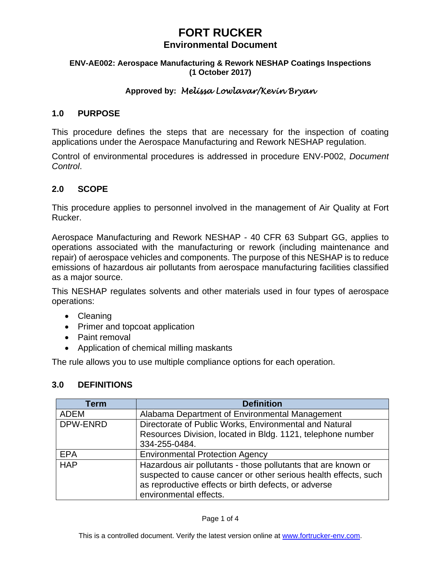# **FORT RUCKER**

# **Environmental Document**

### **ENV-AE002: Aerospace Manufacturing & Rework NESHAP Coatings Inspections (1 October 2017)**

# **Approved by:** *Melissa Lowlavar/Kevin Bryan*

## **1.0 PURPOSE**

This procedure defines the steps that are necessary for the inspection of coating applications under the Aerospace Manufacturing and Rework NESHAP regulation.

Control of environmental procedures is addressed in procedure ENV-P002, *Document Control*.

## **2.0 SCOPE**

This procedure applies to personnel involved in the management of Air Quality at Fort Rucker.

Aerospace Manufacturing and Rework NESHAP - 40 CFR 63 Subpart GG, applies to operations associated with the manufacturing or rework (including maintenance and repair) of aerospace vehicles and components. The purpose of this NESHAP is to reduce emissions of hazardous air pollutants from aerospace manufacturing facilities classified as a major source.

This NESHAP regulates solvents and other materials used in four types of aerospace operations:

- Cleaning
- Primer and topcoat application
- Paint removal
- Application of chemical milling maskants

The rule allows you to use multiple compliance options for each operation.

## **3.0 DEFINITIONS**

| Term       | <b>Definition</b>                                                                                                                                                                                                  |
|------------|--------------------------------------------------------------------------------------------------------------------------------------------------------------------------------------------------------------------|
| ADEM       | Alabama Department of Environmental Management                                                                                                                                                                     |
| DPW-ENRD   | Directorate of Public Works, Environmental and Natural<br>Resources Division, located in Bldg. 1121, telephone number<br>334-255-0484.                                                                             |
| <b>EPA</b> | <b>Environmental Protection Agency</b>                                                                                                                                                                             |
| <b>HAP</b> | Hazardous air pollutants - those pollutants that are known or<br>suspected to cause cancer or other serious health effects, such<br>as reproductive effects or birth defects, or adverse<br>environmental effects. |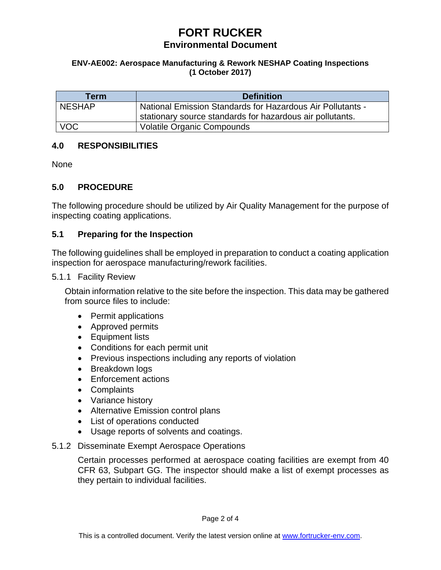# **FORT RUCKER Environmental Document**

### **ENV-AE002: Aerospace Manufacturing & Rework NESHAP Coating Inspections (1 October 2017)**

| Term          | <b>Definition</b>                                          |
|---------------|------------------------------------------------------------|
| <b>NESHAP</b> | National Emission Standards for Hazardous Air Pollutants - |
|               | stationary source standards for hazardous air pollutants.  |
| <b>VOC</b>    | <b>Volatile Organic Compounds</b>                          |

# **4.0 RESPONSIBILITIES**

None

# **5.0 PROCEDURE**

The following procedure should be utilized by Air Quality Management for the purpose of inspecting coating applications.

# **5.1 Preparing for the Inspection**

The following guidelines shall be employed in preparation to conduct a coating application inspection for aerospace manufacturing/rework facilities.

5.1.1 Facility Review

Obtain information relative to the site before the inspection. This data may be gathered from source files to include:

- Permit applications
- Approved permits
- Equipment lists
- Conditions for each permit unit
- Previous inspections including any reports of violation
- Breakdown logs
- Enforcement actions
- Complaints
- Variance history
- Alternative Emission control plans
- List of operations conducted
- Usage reports of solvents and coatings.
- 5.1.2 Disseminate Exempt Aerospace Operations

Certain processes performed at aerospace coating facilities are exempt from 40 CFR 63, Subpart GG. The inspector should make a list of exempt processes as they pertain to individual facilities.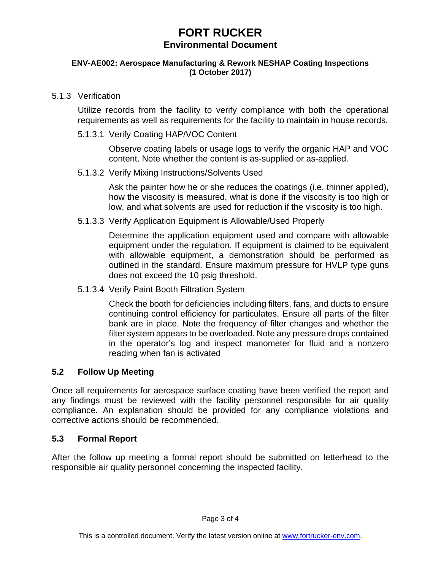# **FORT RUCKER Environmental Document**

#### **ENV-AE002: Aerospace Manufacturing & Rework NESHAP Coating Inspections (1 October 2017)**

# 5.1.3 Verification

Utilize records from the facility to verify compliance with both the operational requirements as well as requirements for the facility to maintain in house records.

5.1.3.1 Verify Coating HAP/VOC Content

Observe coating labels or usage logs to verify the organic HAP and VOC content. Note whether the content is as-supplied or as-applied.

5.1.3.2 Verify Mixing Instructions/Solvents Used

Ask the painter how he or she reduces the coatings (i.e. thinner applied), how the viscosity is measured, what is done if the viscosity is too high or low, and what solvents are used for reduction if the viscosity is too high.

5.1.3.3 Verify Application Equipment is Allowable/Used Properly

Determine the application equipment used and compare with allowable equipment under the regulation. If equipment is claimed to be equivalent with allowable equipment, a demonstration should be performed as outlined in the standard. Ensure maximum pressure for HVLP type guns does not exceed the 10 psig threshold.

5.1.3.4 Verify Paint Booth Filtration System

Check the booth for deficiencies including filters, fans, and ducts to ensure continuing control efficiency for particulates. Ensure all parts of the filter bank are in place. Note the frequency of filter changes and whether the filter system appears to be overloaded. Note any pressure drops contained in the operator's log and inspect manometer for fluid and a nonzero reading when fan is activated

# **5.2 Follow Up Meeting**

Once all requirements for aerospace surface coating have been verified the report and any findings must be reviewed with the facility personnel responsible for air quality compliance. An explanation should be provided for any compliance violations and corrective actions should be recommended.

# **5.3 Formal Report**

After the follow up meeting a formal report should be submitted on letterhead to the responsible air quality personnel concerning the inspected facility.